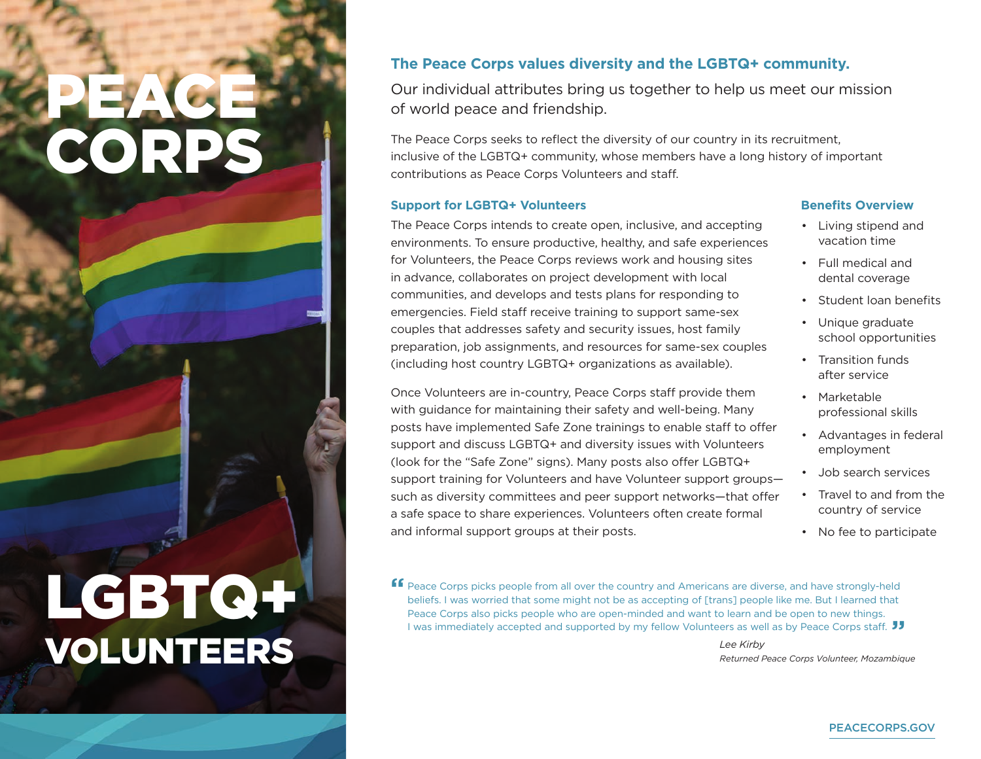# PEACE. CORPS

## LGBTQ+ VOLUNTEERS

### **The Peace Corps values diversity and the LGBTQ+ community.**

Our individual attributes bring us together to help us meet our mission of world peace and friendship.

The Peace Corps seeks to reflect the diversity of our country in its recruitment, inclusive of the LGBTQ+ community, whose members have a long history of important contributions as Peace Corps Volunteers and staff.

#### **Support for LGBTQ+ Volunteers**

The Peace Corps intends to create open, inclusive, and accepting environments. To ensure productive, healthy, and safe experiences for Volunteers, the Peace Corps reviews work and housing sites in advance, collaborates on project development with local communities, and develops and tests plans for responding to emergencies. Field staff receive training to support same-sex couples that addresses safety and security issues, host family preparation, job assignments, and resources for same-sex couples (including host country LGBTQ+ organizations as available).

Once Volunteers are in-country. Peace Corps staff provide them with guidance for maintaining their safety and well-being. Many posts have implemented Safe Zone trainings to enable staff to offer support and discuss LGBTQ+ and diversity issues with Volunteers (look for the "Safe Zone" signs). Many posts also offer LGBTQ+ support training for Volunteers and have Volunteer support groups such as diversity committees and peer support networks—that offer a safe space to share experiences. Volunteers often create formal and informal support groups at their posts.

#### **Benefits Overview**

- Living stipend and vacation time
- Full medical and dental coverage
- Student loan benefits
- Unique graduate school opportunities
- Transition funds after service
- Marketable professional skills
- Advantages in federal employment
- Job search services
- Travel to and from the country of service
- No fee to participate

**ff** Peace Corps picks people from all over the country and Americans are diverse, and have strongly-held beliefs. I was worried that some might not be as accepting of Itrans1 people like me. But I learned that beliefs. I was worried that some might not be as accepting of [trans] people like me. But I learned that Peace Corps also picks people who are open-minded and want to learn and be open to new things. I was immediately accepted and supported by my fellow Volunteers as well as by Peace Corps staff. **JJ**<br>Lee Kirby

 *Lee Kirby Returned Peace Corps Volunteer, Mozambique*

#### PEACECORPS.GOV